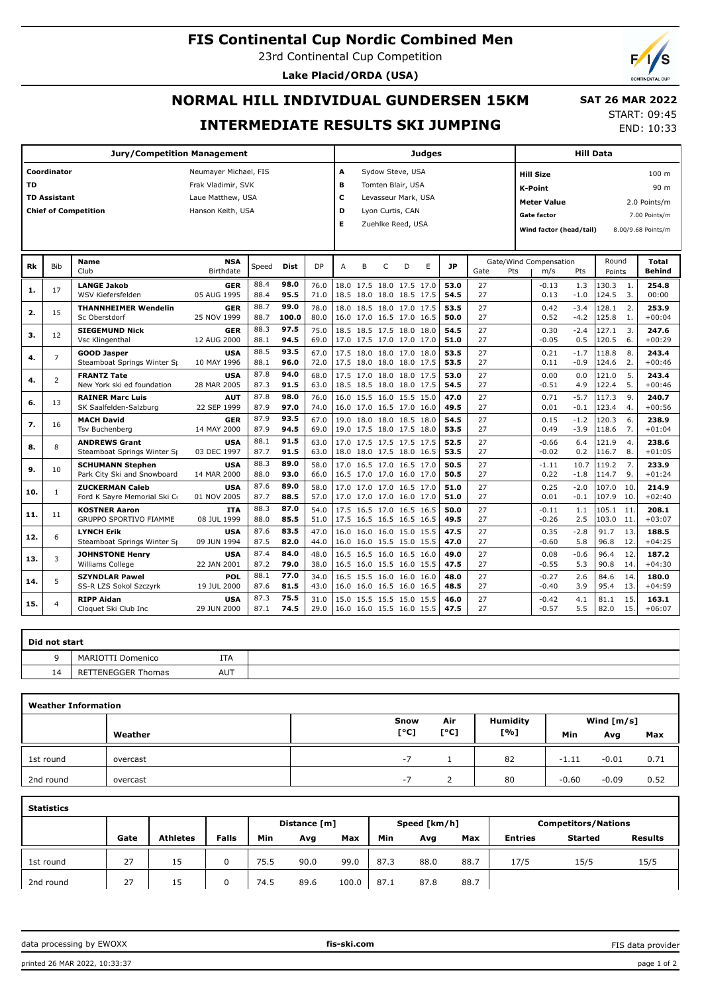## **FIS Continental Cup Nordic Combined Men**

23rd Continental Cup Competition

**Lake Placid/ORDA (USA)**

## **NORMAL HILL INDIVIDUAL GUNDERSEN 15KM INTERMEDIATE RESULTS SKI JUMPING**

START: 09:45

 **SAT 26 MAR 2022**

| <b>Jury/Competition Management</b>       |                |                                                     |                           |              |              |                     | Judges                   |                   |                                                      |   |                  |                                               | <b>Hill Data</b>                   |                        |                                     |                  |                |          |                   |
|------------------------------------------|----------------|-----------------------------------------------------|---------------------------|--------------|--------------|---------------------|--------------------------|-------------------|------------------------------------------------------|---|------------------|-----------------------------------------------|------------------------------------|------------------------|-------------------------------------|------------------|----------------|----------|-------------------|
| Coordinator<br>Neumayer Michael, FIS     |                |                                                     |                           |              | A            |                     | Sydow Steve, USA         |                   |                                                      |   | <b>Hill Size</b> |                                               | 100 <sub>m</sub>                   |                        |                                     |                  |                |          |                   |
| <b>TD</b><br>Frak Vladimir, SVK          |                |                                                     |                           |              |              |                     | в                        | Tomten Blair, USA |                                                      |   |                  |                                               | <b>K-Point</b>                     |                        |                                     | 90 m             |                |          |                   |
| <b>TD Assistant</b><br>Laue Matthew, USA |                |                                                     |                           |              | c            | Levasseur Mark, USA |                          |                   |                                                      |   |                  |                                               |                                    |                        |                                     |                  |                |          |                   |
|                                          |                | <b>Chief of Competition</b>                         | Hanson Keith, USA         |              |              |                     | D                        | Lyon Curtis, CAN  |                                                      |   |                  |                                               | <b>Meter Value</b><br>2.0 Points/m |                        |                                     |                  |                |          |                   |
|                                          |                |                                                     |                           |              |              |                     | E                        |                   |                                                      |   |                  |                                               |                                    |                        | <b>Gate factor</b><br>7.00 Points/m |                  |                |          |                   |
|                                          |                |                                                     |                           |              |              |                     |                          | Zuehlke Reed, USA |                                                      |   |                  | Wind factor (head/tail)<br>8.00/9.68 Points/m |                                    |                        |                                     |                  |                |          |                   |
|                                          |                |                                                     |                           |              |              |                     |                          |                   |                                                      |   |                  |                                               |                                    |                        |                                     |                  |                |          |                   |
|                                          |                | <b>Name</b>                                         | <b>NSA</b>                |              |              |                     |                          |                   | C<br>B                                               |   |                  |                                               |                                    | Gate/Wind Compensation |                                     | Round            |                | Total    |                   |
| Rk                                       | <b>Bib</b>     | Club                                                | Birthdate                 | Speed        | <b>Dist</b>  | <b>DP</b>           | A                        |                   |                                                      | D | E                | <b>JP</b>                                     | Gate                               | Pts                    | m/s                                 | Pts              | Points         |          | <b>Behind</b>     |
| 1.                                       | 17             | <b>LANGE Jakob</b>                                  | <b>GER</b>                | 88.4         | 98.0         | 76.0                |                          |                   | 18.0 17.5 18.0 17.5 17.0                             |   |                  | 53.0                                          | 27                                 |                        | $-0.13$                             | 1.3              | 130.3          | 1.       | 254.8             |
|                                          |                | WSV Kiefersfelden                                   | 05 AUG 1995               | 88.4         | 95.5         | 71.0                |                          |                   | 18.5 18.0 18.0 18.5 17.5                             |   |                  | 54.5                                          | 27                                 |                        | 0.13                                | $-1.0$           | 124.5          | 3.       | 00:00             |
| 2.                                       | 15             | <b>THANNHEIMER Wendelin</b>                         | <b>GER</b>                | 88.7         | 99.0         | 78.0                | 18.0                     |                   | 18.5 18.0 17.0 17.5                                  |   |                  | 53.5                                          | 27                                 |                        | 0.42                                | $-3.4$           | 128.1          | 2.       | 253.9             |
|                                          |                | Sc Oberstdorf                                       | 25 NOV 1999               | 88.7         | 100.0        | 80.0                |                          |                   | 16.0 17.0 16.5 17.0 16.5                             |   |                  | 50.0                                          | 27                                 |                        | 0.52                                | $-4.2$           | 125.8          | 1.       | $+00:04$          |
| з.                                       | 12             | <b>SIEGEMUND Nick</b>                               | GER                       | 88.3         | 97.5         | 75.0                |                          |                   | 18.5 18.5 17.5 18.0 18.0                             |   |                  | 54.5                                          | 27                                 |                        | 0.30                                | $-2.4$           | 127.1          | 3.       | 247.6             |
|                                          |                | Vsc Klingenthal                                     | 12 AUG 2000               | 88.1         | 94.5         | 69.0                | 17.0                     |                   | 17.5 17.0 17.0 17.0                                  |   |                  | 51.0                                          | 27                                 |                        | $-0.05$                             | 0.5              | 120.5          | 6.       | $+00:29$          |
| 4.                                       | $\overline{7}$ | <b>GOOD Jasper</b>                                  | <b>USA</b>                | 88.5         | 93.5         | 67.0                | 17.5                     |                   | 18.0 18.0 17.0 18.0                                  |   |                  | 53.5                                          | 27                                 |                        | 0.21                                | $-1.7$           | 118.8          | 8.       | 243.4             |
|                                          |                | Steamboat Springs Winter Sp                         | 10 MAY 1996               | 88.1         | 96.0         | 72.0                |                          |                   | 17.5 18.0 18.0 18.0 17.5                             |   |                  | 53.5                                          | 27                                 |                        | 0.11                                | $-0.9$           | 124.6          | 2.       | $+00:46$          |
| 4.                                       | $\overline{2}$ | <b>FRANTZ Tate</b>                                  | <b>USA</b>                | 87.8         | 94.0         | 68.0                |                          |                   | 17.5 17.0 18.0 18.0 17.5                             |   |                  | 53.0                                          | 27                                 |                        | 0.00                                | 0.0              | 121.0          | 5.       | 243.4             |
|                                          |                | New York ski ed foundation                          | 28 MAR 2005               | 87.3         | 91.5         | 63.0                |                          |                   | 18.5 18.5 18.0 18.0 17.5                             |   |                  | 54.5                                          | 27                                 |                        | $-0.51$                             | 4.9              | 122.4          | 5.       | $+00:46$          |
| 6.                                       | 13             | <b>RAINER Marc Luis</b><br>SK Saalfelden-Salzburg   | <b>AUT</b><br>22 SEP 1999 | 87.8<br>87.9 | 98.0<br>97.0 | 76.0<br>74.0        | 16.0                     |                   | 15.5 16.0 15.5 15.0<br>16.0 17.0 16.5 17.0 16.0      |   |                  | 47.0<br>49.5                                  | 27<br>27                           |                        | 0.71<br>0.01                        | $-5.7$<br>$-0.1$ | 117.3<br>123.4 | 9.<br>4. | 240.7<br>$+00:56$ |
|                                          |                |                                                     |                           | 87.9         | 93.5         |                     |                          |                   |                                                      |   |                  |                                               |                                    |                        |                                     |                  |                |          |                   |
| 7.                                       | 16             | <b>MACH David</b><br><b>Tsv Buchenberg</b>          | <b>GER</b><br>14 MAY 2000 | 87.9         | 94.5         | 67.0<br>69.0        |                          |                   | 19.0 18.0 18.0 18.5 18.0<br>19.0 17.5 18.0 17.5 18.0 |   |                  | 54.5<br>53.5                                  | 27<br>27                           |                        | 0.15<br>0.49                        | $-1.2$<br>$-3.9$ | 120.3<br>118.6 | 6.<br>7. | 238.9<br>$+01:04$ |
|                                          |                |                                                     |                           | 88.1         | 91.5         |                     |                          |                   |                                                      |   |                  |                                               | 27                                 |                        |                                     |                  |                |          |                   |
| 8.                                       | 8              | <b>ANDREWS Grant</b><br>Steamboat Springs Winter Sp | <b>USA</b><br>03 DEC 1997 | 87.7         | 91.5         | 63.0<br>63.0        |                          |                   | 17.0 17.5 17.5 17.5 17.5<br>18.0 18.0 17.5 18.0 16.5 |   |                  | 52.5<br>53.5                                  | 27                                 |                        | $-0.66$<br>$-0.02$                  | 6.4<br>0.2       | 121.9<br>116.7 | 4.<br>8. | 238.6<br>$+01:05$ |
|                                          |                | <b>SCHUMANN Stephen</b>                             | <b>USA</b>                | 88.3         | 89.0         | 58.0                |                          |                   | 17.0 16.5 17.0 16.5 17.0                             |   |                  | 50.5                                          | 27                                 |                        | $-1.11$                             | 10.7             | 119.2          | 7.       | 233.9             |
| 9.                                       | 10             | Park City Ski and Snowboard                         | 14 MAR 2000               | 88.0         | 93.0         | 66.0                |                          |                   | 16.5 17.0 17.0 16.0 17.0                             |   |                  | 50.5                                          | 27                                 |                        | 0.22                                | $-1.8$           | 114.7          | 9.       | $+01:24$          |
|                                          | $\mathbf{1}$   | <b>ZUCKERMAN Caleb</b>                              | <b>USA</b>                | 87.6         | 89.0         | 58.0                |                          |                   | 17.0 17.0 17.0 16.5 17.0                             |   |                  | 51.0                                          | 27                                 |                        | 0.25                                | $-2.0$           | 107.0          | 10.      | 214.9             |
| 10.                                      |                | Ford K Sayre Memorial Ski Co                        | 01 NOV 2005               | 87.7         | 88.5         | 57.0                |                          |                   | 17.0 17.0 17.0 16.0 17.0                             |   |                  | 51.0                                          | 27                                 |                        | 0.01                                | $-0.1$           | 107.9          | 10.      | $+02:40$          |
|                                          | 11             | <b>KOSTNER Aaron</b>                                | <b>ITA</b>                | 88.3         | 87.0         | 54.0                | 17.5                     |                   | 16.5 17.0 16.5 16.5                                  |   |                  | 50.0                                          | 27                                 |                        | $-0.11$                             | 1.1              | 105.1          | 11.      | 208.1             |
| 11.                                      |                | GRUPPO SPORTIVO FIAMME                              | 08 JUL 1999               | 88.0         | 85.5         | 51.0                |                          |                   | 17.5 16.5 16.5 16.5 16.5                             |   |                  | 49.5                                          | 27                                 |                        | $-0.26$                             | 2.5              | 103.0          | 11       | $+03:07$          |
|                                          | 6              | <b>LYNCH Erik</b>                                   | <b>USA</b>                | 87.6         | 83.5         | 47.0                |                          |                   | 16.0 16.0 16.0 15.0 15.5                             |   |                  | 47.5                                          | 27                                 |                        | 0.35                                | $-2.8$           | 91.7           | 13.      | 188.5             |
| 12.                                      |                | Steamboat Springs Winter Sp                         | 09 JUN 1994               | 87.5         | 82.0         | 44.0                | 16.0                     |                   | 16.0 15.5 15.0 15.5                                  |   |                  | 47.0                                          | 27                                 |                        | $-0.60$                             | 5.8              | 96.8           | 12.      | $+04:25$          |
|                                          | 3              | <b>JOHNSTONE Henry</b>                              | <b>USA</b>                | 87.4         | 84.0         | 48.0                |                          |                   | 16.5 16.5 16.0 16.5 16.0                             |   |                  | 49.0                                          | 27                                 |                        | 0.08                                | $-0.6$           | 96.4           | 12.      | 187.2             |
| 13.                                      |                | Williams College                                    | 22 JAN 2001               | 87.2         | 79.0         | 38.0                |                          |                   | 16.5 16.0 15.5 16.0 15.5                             |   |                  | 47.5                                          | 27                                 |                        | $-0.55$                             | 5.3              | 90.8           | 14.      | $+04:30$          |
|                                          | 5              | <b>SZYNDLAR Pawel</b>                               | POL                       | 88.1         | 77.0         | 34.0                |                          |                   | 16.5 15.5 16.0 16.0 16.0                             |   |                  | 48.0                                          | 27                                 |                        | $-0.27$                             | 2.6              | 84.6           | 14.      | 180.0             |
| 14.                                      |                | SS-R LZS Sokol Szczyrk                              | 19 JUL 2000               | 87.6         | 81.5         | 43.0                |                          |                   | 16.0 16.0 16.5 16.0 16.5                             |   |                  | 48.5                                          | 27                                 |                        | $-0.40$                             | 3.9              | 95.4           | 13.      | $+04:59$          |
| 15.                                      | $\overline{4}$ | <b>RIPP Aidan</b>                                   | <b>USA</b>                | 87.3         | 75.5         | 31.0                | 15.0                     |                   | 15.5 15.5 15.0 15.5                                  |   |                  | 46.0                                          | 27                                 |                        | $-0.42$                             | 4.1              | 81.1           | 15.      | 163.1             |
|                                          |                | Cloquet Ski Club Inc                                | 29 JUN 2000               | 87.1         | 74.5         | 29.0                | 16.0 16.0 15.5 16.0 15.5 |                   |                                                      |   |                  | 47.5                                          | 27                                 |                        | $-0.57$                             | 5.5              | 82.0           | 15.      | $+06:07$          |

| Did not start |                    |            |  |  |  |  |  |  |  |  |
|---------------|--------------------|------------|--|--|--|--|--|--|--|--|
| ດ             | Domenico<br>MARIOT | ITA        |  |  |  |  |  |  |  |  |
| 14            | RETTENEGGER Thomas | <b>AUT</b> |  |  |  |  |  |  |  |  |

| <b>Weather Information</b> |          |           |      |                 |         |              |      |  |  |  |  |  |
|----------------------------|----------|-----------|------|-----------------|---------|--------------|------|--|--|--|--|--|
|                            |          | Snow      | Air  | <b>Humidity</b> |         | Wind $[m/s]$ |      |  |  |  |  |  |
|                            | Weather  | [°C]      | [°C] | [%]             | Min     | Avg          | Max  |  |  |  |  |  |
| 1st round                  | overcast | $-1$      |      | 82              | $-1.11$ | $-0.01$      | 0.71 |  |  |  |  |  |
| 2nd round                  | overcast | -<br>$-1$ |      | 80              | $-0.60$ | $-0.09$      | 0.52 |  |  |  |  |  |

| <b>Statistics</b> |      |          |              |              |      |       |              |      |      |                            |                |         |  |
|-------------------|------|----------|--------------|--------------|------|-------|--------------|------|------|----------------------------|----------------|---------|--|
|                   |      |          |              | Distance [m] |      |       | Speed [km/h] |      |      | <b>Competitors/Nations</b> |                |         |  |
|                   | Gate | Athletes | <b>Falls</b> | Min          | Avg  | Max   | Min          | Avg  | Max  | <b>Entries</b>             | <b>Started</b> | Results |  |
| 1st round         | 27   | 15       | 0            | 75.5         | 90.0 | 99.0  | 87.3         | 88.0 | 88.7 | 17/5                       | 15/5           | 15/5    |  |
| 2nd round         | 27   | 15       | 0            | 74.5         | 89.6 | 100.0 | 87.1         | 87.8 | 88.7 |                            |                |         |  |

data processing by EWOXX **fis-ski.com**